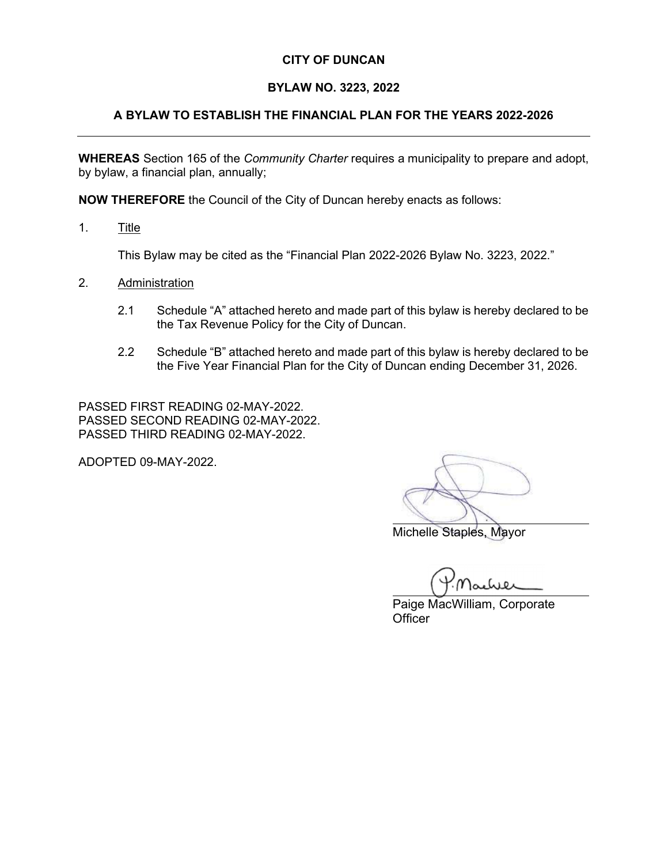# CITY OF DUNCAN

## BYLAW NO. 3223, 2022

## A BYLAW TO ESTABLISH THE FINANCIAL PLAN FOR THE YEARS 2022-2026

WHEREAS Section 165 of the *Community Charter* requires a municipality to prepare and adopt, by bylaw, a financial plan, annually;

NOW THEREFORE the Council of the City of Duncan hereby enacts as follows:

1. Title

This Bylaw may be cited as the "Financial Plan 2022-2026 Bylaw No. 3223, 2022."

- 2. Administration
	- 2.1 Schedule "A" attached hereto and made part of this bylaw is hereby declared to be the Tax Revenue Policy for the City of Duncan.
	- 2.2 Schedule "B" attached hereto and made part of this bylaw is hereby declared to be the Five Year Financial Plan for the City of Duncan ending December 31, 2026.

PASSED FIRST READING 02-MAY-2022. PASSED SECOND READING 02-MAY-2022. PASSED THIRD READING 02-MAY-2022.

ADOPTED 09-MAY-2022.

Michelle Staples, Mayor

 $\overline{\phantom{a}}$ 

 Paige MacWilliam, Corporate **Officer**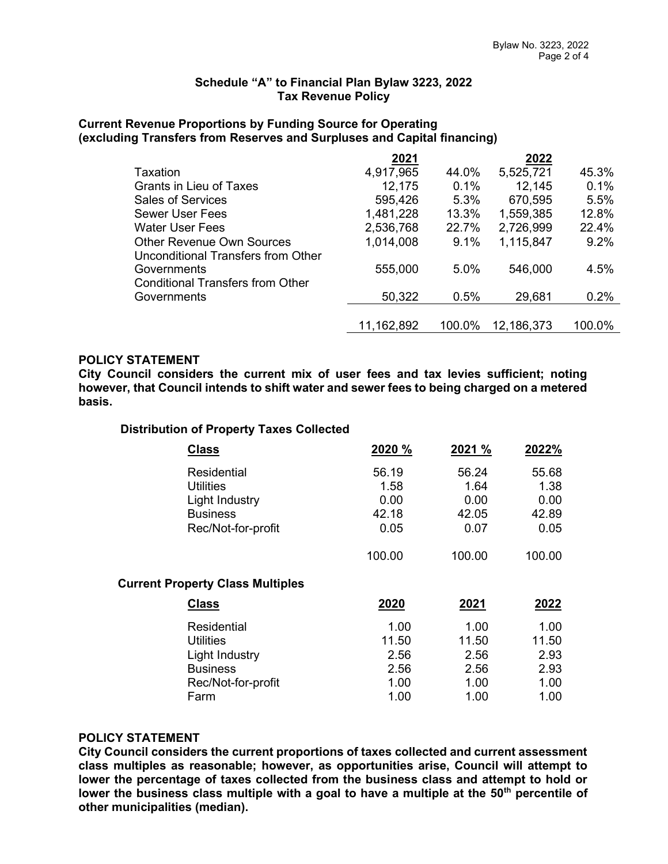#### Schedule "A" to Financial Plan Bylaw 3223, 2022 Tax Revenue Policy

#### Current Revenue Proportions by Funding Source for Operating (excluding Transfers from Reserves and Surpluses and Capital financing)

|                                         | 2021         |        | 2022       |         |
|-----------------------------------------|--------------|--------|------------|---------|
| Taxation                                | 4,917,965    | 44.0%  | 5,525,721  | 45.3%   |
| <b>Grants in Lieu of Taxes</b>          | 12,175       | 0.1%   | 12,145     | 0.1%    |
| <b>Sales of Services</b>                | 595,426      | 5.3%   | 670,595    | 5.5%    |
| <b>Sewer User Fees</b>                  | 1,481,228    | 13.3%  | 1,559,385  | 12.8%   |
| Water User Fees                         | 2,536,768    | 22.7%  | 2,726,999  | 22.4%   |
| <b>Other Revenue Own Sources</b>        | 1,014,008    | 9.1%   | 1,115,847  | $9.2\%$ |
| Unconditional Transfers from Other      |              |        |            |         |
| Governments                             | 555,000      | 5.0%   | 546,000    | 4.5%    |
| <b>Conditional Transfers from Other</b> |              |        |            |         |
| Governments                             | 50,322       | 0.5%   | 29,681     | 0.2%    |
|                                         |              |        |            |         |
|                                         | 11, 162, 892 | 100.0% | 12,186,373 | 100.0%  |

# POLICY STATEMENT

City Council considers the current mix of user fees and tax levies sufficient; noting however, that Council intends to shift water and sewer fees to being charged on a metered basis.

#### Distribution of Property Taxes Collected

| <b>Class</b>                            | 2020 % | 2021 % | 2022%  |
|-----------------------------------------|--------|--------|--------|
| Residential                             | 56.19  | 56.24  | 55.68  |
| <b>Utilities</b>                        | 1.58   | 1.64   | 1.38   |
| Light Industry                          | 0.00   | 0.00   | 0.00   |
| <b>Business</b>                         | 42.18  | 42.05  | 42.89  |
| Rec/Not-for-profit                      | 0.05   | 0.07   | 0.05   |
|                                         | 100.00 | 100.00 | 100.00 |
| <b>Current Property Class Multiples</b> |        |        |        |
| <b>Class</b>                            | 2020   | 2021   | 2022   |
| Residential                             | 1.00   | 1.00   | 1.00   |
| <b>Utilities</b>                        | 11.50  | 11.50  | 11.50  |
| Light Industry                          | 2.56   | 2.56   | 2.93   |
| <b>Business</b>                         | 2.56   | 2.56   | 2.93   |
| Rec/Not-for-profit                      | 1.00   | 1.00   | 1.00   |
| Farm                                    | 1.00   | 1.00   | 1.00   |

# POLICY STATEMENT

City Council considers the current proportions of taxes collected and current assessment class multiples as reasonable; however, as opportunities arise, Council will attempt to lower the percentage of taxes collected from the business class and attempt to hold or lower the business class multiple with a goal to have a multiple at the  $50<sup>th</sup>$  percentile of other municipalities (median).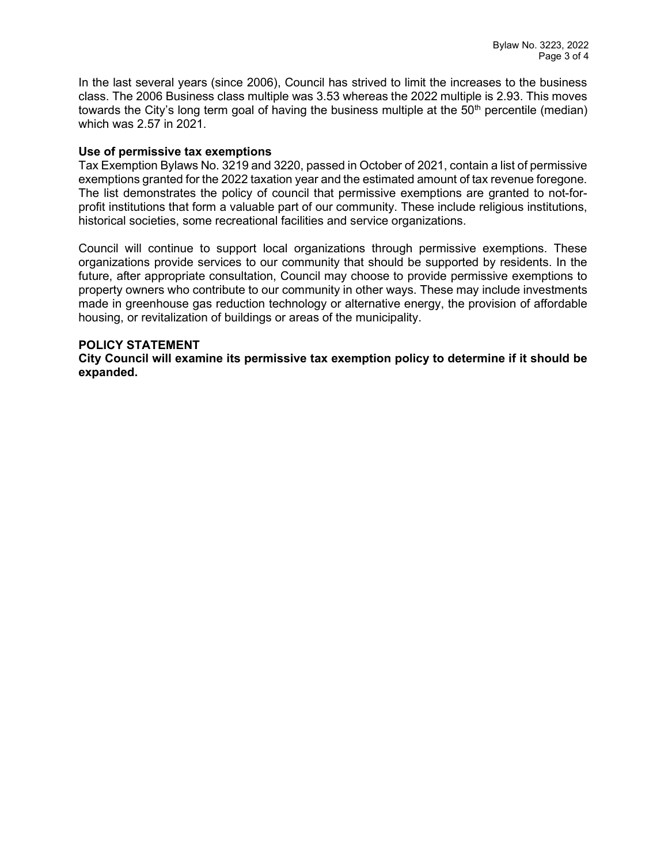In the last several years (since 2006), Council has strived to limit the increases to the business class. The 2006 Business class multiple was 3.53 whereas the 2022 multiple is 2.93. This moves towards the City's long term goal of having the business multiple at the  $50<sup>th</sup>$  percentile (median) which was 2.57 in 2021.

#### Use of permissive tax exemptions

Tax Exemption Bylaws No. 3219 and 3220, passed in October of 2021, contain a list of permissive exemptions granted for the 2022 taxation year and the estimated amount of tax revenue foregone. The list demonstrates the policy of council that permissive exemptions are granted to not-forprofit institutions that form a valuable part of our community. These include religious institutions, historical societies, some recreational facilities and service organizations.

Council will continue to support local organizations through permissive exemptions. These organizations provide services to our community that should be supported by residents. In the future, after appropriate consultation, Council may choose to provide permissive exemptions to property owners who contribute to our community in other ways. These may include investments made in greenhouse gas reduction technology or alternative energy, the provision of affordable housing, or revitalization of buildings or areas of the municipality.

### POLICY STATEMENT

City Council will examine its permissive tax exemption policy to determine if it should be expanded.